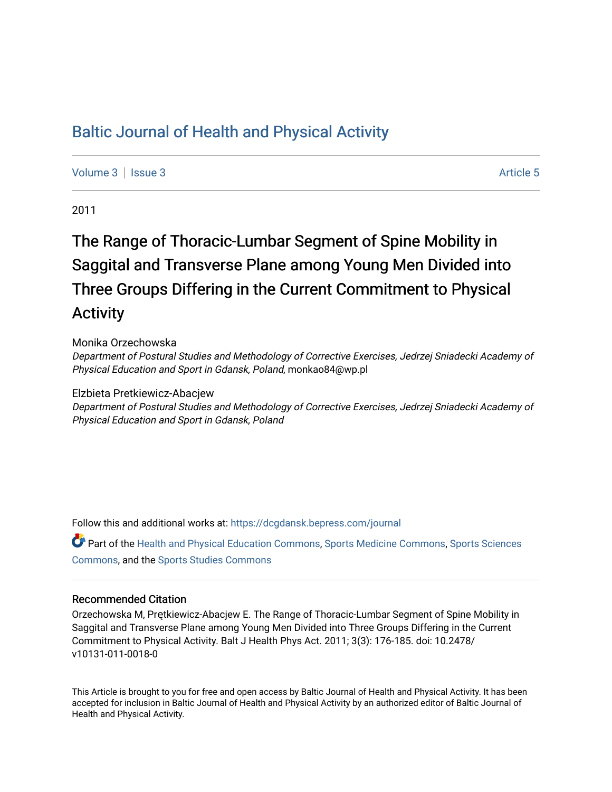# [Baltic Journal of Health and Physical Activity](https://dcgdansk.bepress.com/journal)

[Volume 3](https://dcgdansk.bepress.com/journal/vol3) | [Issue 3](https://dcgdansk.bepress.com/journal/vol3/iss3) Article 5

2011

# The Range of Thoracic-Lumbar Segment of Spine Mobility in Saggital and Transverse Plane among Young Men Divided into Three Groups Differing in the Current Commitment to Physical **Activity**

#### Monika Orzechowska

Department of Postural Studies and Methodology of Corrective Exercises, Jedrzej Sniadecki Academy of Physical Education and Sport in Gdansk, Poland, monkao84@wp.pl

#### Elzbieta Pretkiewicz-Abacjew

Department of Postural Studies and Methodology of Corrective Exercises, Jedrzej Sniadecki Academy of Physical Education and Sport in Gdansk, Poland

Follow this and additional works at: [https://dcgdansk.bepress.com/journal](https://dcgdansk.bepress.com/journal?utm_source=dcgdansk.bepress.com%2Fjournal%2Fvol3%2Fiss3%2F5&utm_medium=PDF&utm_campaign=PDFCoverPages)

Part of the [Health and Physical Education Commons](http://network.bepress.com/hgg/discipline/1327?utm_source=dcgdansk.bepress.com%2Fjournal%2Fvol3%2Fiss3%2F5&utm_medium=PDF&utm_campaign=PDFCoverPages), [Sports Medicine Commons,](http://network.bepress.com/hgg/discipline/1331?utm_source=dcgdansk.bepress.com%2Fjournal%2Fvol3%2Fiss3%2F5&utm_medium=PDF&utm_campaign=PDFCoverPages) [Sports Sciences](http://network.bepress.com/hgg/discipline/759?utm_source=dcgdansk.bepress.com%2Fjournal%2Fvol3%2Fiss3%2F5&utm_medium=PDF&utm_campaign=PDFCoverPages) [Commons](http://network.bepress.com/hgg/discipline/759?utm_source=dcgdansk.bepress.com%2Fjournal%2Fvol3%2Fiss3%2F5&utm_medium=PDF&utm_campaign=PDFCoverPages), and the [Sports Studies Commons](http://network.bepress.com/hgg/discipline/1198?utm_source=dcgdansk.bepress.com%2Fjournal%2Fvol3%2Fiss3%2F5&utm_medium=PDF&utm_campaign=PDFCoverPages) 

#### Recommended Citation

Orzechowska M, Prętkiewicz-Abacjew E. The Range of Thoracic-Lumbar Segment of Spine Mobility in Saggital and Transverse Plane among Young Men Divided into Three Groups Differing in the Current Commitment to Physical Activity. Balt J Health Phys Act. 2011; 3(3): 176-185. doi: 10.2478/ v10131-011-0018-0

This Article is brought to you for free and open access by Baltic Journal of Health and Physical Activity. It has been accepted for inclusion in Baltic Journal of Health and Physical Activity by an authorized editor of Baltic Journal of Health and Physical Activity.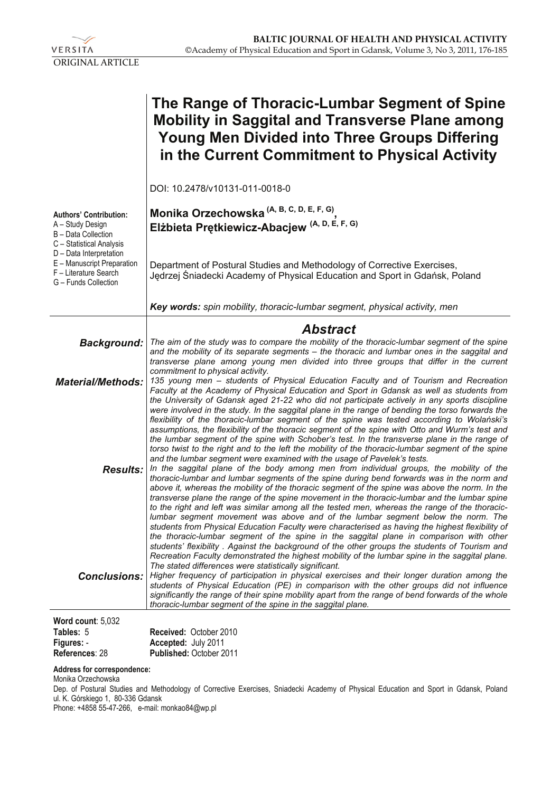

|                                                                                                                                 | The Range of Thoracic-Lumbar Segment of Spine<br><b>Mobility in Saggital and Transverse Plane among</b><br><b>Young Men Divided into Three Groups Differing</b><br>in the Current Commitment to Physical Activity                                                                                                                                                                                                                                                                                                                                                                                                                                                                                                                                                                                                                                                                                                                                                  |
|---------------------------------------------------------------------------------------------------------------------------------|--------------------------------------------------------------------------------------------------------------------------------------------------------------------------------------------------------------------------------------------------------------------------------------------------------------------------------------------------------------------------------------------------------------------------------------------------------------------------------------------------------------------------------------------------------------------------------------------------------------------------------------------------------------------------------------------------------------------------------------------------------------------------------------------------------------------------------------------------------------------------------------------------------------------------------------------------------------------|
|                                                                                                                                 | DOI: 10.2478/v10131-011-0018-0                                                                                                                                                                                                                                                                                                                                                                                                                                                                                                                                                                                                                                                                                                                                                                                                                                                                                                                                     |
| <b>Authors' Contribution:</b><br>A - Study Design<br>B - Data Collection<br>C - Statistical Analysis<br>D - Data Interpretation | Monika Orzechowska $(A, B, C, D, E, F, G)$<br>Elżbieta Prętkiewicz-Abacjew <sup>(A, D, E, F, G)</sup>                                                                                                                                                                                                                                                                                                                                                                                                                                                                                                                                                                                                                                                                                                                                                                                                                                                              |
| E - Manuscript Preparation<br>F - Literature Search<br>G - Funds Collection                                                     | Department of Postural Studies and Methodology of Corrective Exercises,<br>Jedrzej Śniadecki Academy of Physical Education and Sport in Gdańsk, Poland                                                                                                                                                                                                                                                                                                                                                                                                                                                                                                                                                                                                                                                                                                                                                                                                             |
|                                                                                                                                 | Key words: spin mobility, thoracic-lumbar segment, physical activity, men                                                                                                                                                                                                                                                                                                                                                                                                                                                                                                                                                                                                                                                                                                                                                                                                                                                                                          |
| <b>Background:</b>                                                                                                              | <b>Abstract</b><br>The aim of the study was to compare the mobility of the thoracic-lumbar segment of the spine<br>and the mobility of its separate segments - the thoracic and lumbar ones in the saggital and<br>transverse plane among young men divided into three groups that differ in the current<br>commitment to physical activity.                                                                                                                                                                                                                                                                                                                                                                                                                                                                                                                                                                                                                       |
| <b>Material/Methods:</b>                                                                                                        | 135 young men - students of Physical Education Faculty and of Tourism and Recreation<br>Faculty at the Academy of Physical Education and Sport in Gdansk as well as students from<br>the University of Gdansk aged 21-22 who did not participate actively in any sports discipline<br>were involved in the study. In the saggital plane in the range of bending the torso forwards the<br>flexibility of the thoracic-lumbar segment of the spine was tested according to Wolański's<br>assumptions, the flexibility of the thoracic segment of the spine with Otto and Wurm's test and<br>the lumbar segment of the spine with Schober's test. In the transverse plane in the range of<br>torso twist to the right and to the left the mobility of the thoracic-lumbar segment of the spine<br>and the lumbar segment were examined with the usage of Pavelek's tests.<br>In the saggital plane of the body among men from individual groups, the mobility of the |
| <b>Results:</b>                                                                                                                 | thoracic-lumbar and lumbar segments of the spine during bend forwards was in the norm and<br>above it, whereas the mobility of the thoracic segment of the spine was above the norm. In the<br>transverse plane the range of the spine movement in the thoracic-lumbar and the lumbar spine<br>to the right and left was similar among all the tested men, whereas the range of the thoracic-<br>lumbar segment movement was above and of the lumbar segment below the norm. The<br>students from Physical Education Faculty were characterised as having the highest flexibility of<br>the thoracic-lumbar segment of the spine in the saggital plane in comparison with other<br>students' flexibility. Against the background of the other groups the students of Tourism and<br>Recreation Faculty demonstrated the highest mobility of the lumbar spine in the saggital plane.                                                                                |
| <b>Conclusions:</b><br>Word count: 5,032                                                                                        | The stated differences were statistically significant.<br>Higher frequency of participation in physical exercises and their longer duration among the<br>students of Physical Education (PE) in comparison with the other groups did not influence<br>significantly the range of their spine mobility apart from the range of bend forwards of the whole<br>thoracic-lumbar segment of the spine in the saggital plane.                                                                                                                                                                                                                                                                                                                                                                                                                                                                                                                                            |

| Tables: 5      | <b>Received: October 2010</b>  |
|----------------|--------------------------------|
| Figures: -     | Accepted: July 2011            |
| References: 28 | <b>Published: October 2011</b> |

#### **Address for correspondence:**

Monika Orzechowska Dep. of Postural Studies and Methodology of Corrective Exercises, Sniadecki Academy of Physical Education and Sport in Gdansk, Poland ul. K. Górskiego 1, 80-336 Gdansk

Phone: +4858 55-47-266, e-mail: monkao84@wp.pl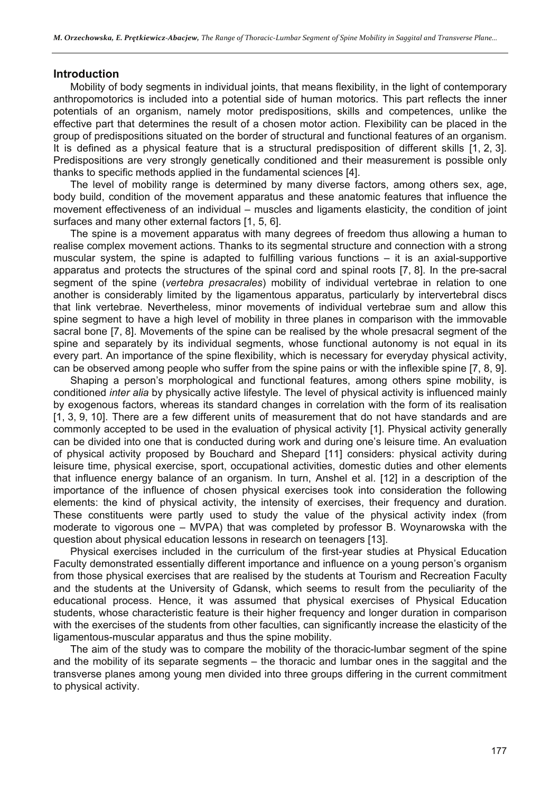#### **Introduction**

Mobility of body segments in individual joints, that means flexibility, in the light of contemporary anthropomotorics is included into a potential side of human motorics. This part reflects the inner potentials of an organism, namely motor predispositions, skills and competences, unlike the effective part that determines the result of a chosen motor action. Flexibility can be placed in the group of predispositions situated on the border of structural and functional features of an organism. It is defined as a physical feature that is a structural predisposition of different skills [1, 2, 3]. Predispositions are very strongly genetically conditioned and their measurement is possible only thanks to specific methods applied in the fundamental sciences [4].

The level of mobility range is determined by many diverse factors, among others sex, age, body build, condition of the movement apparatus and these anatomic features that influence the movement effectiveness of an individual – muscles and ligaments elasticity, the condition of joint surfaces and many other external factors [1, 5, 6].

The spine is a movement apparatus with many degrees of freedom thus allowing a human to realise complex movement actions. Thanks to its segmental structure and connection with a strong muscular system, the spine is adapted to fulfilling various functions – it is an axial-supportive apparatus and protects the structures of the spinal cord and spinal roots [7, 8]. In the pre-sacral segment of the spine (*vertebra presacrales*) mobility of individual vertebrae in relation to one another is considerably limited by the ligamentous apparatus, particularly by intervertebral discs that link vertebrae. Nevertheless, minor movements of individual vertebrae sum and allow this spine segment to have a high level of mobility in three planes in comparison with the immovable sacral bone [7, 8]. Movements of the spine can be realised by the whole presacral segment of the spine and separately by its individual segments, whose functional autonomy is not equal in its every part. An importance of the spine flexibility, which is necessary for everyday physical activity, can be observed among people who suffer from the spine pains or with the inflexible spine [7, 8, 9].

Shaping a person's morphological and functional features, among others spine mobility, is conditioned *inter alia* by physically active lifestyle. The level of physical activity is influenced mainly by exogenous factors, whereas its standard changes in correlation with the form of its realisation [1, 3, 9, 10]. There are a few different units of measurement that do not have standards and are commonly accepted to be used in the evaluation of physical activity [1]. Physical activity generally can be divided into one that is conducted during work and during one's leisure time. An evaluation of physical activity proposed by Bouchard and Shepard [11] considers: physical activity during leisure time, physical exercise, sport, occupational activities, domestic duties and other elements that influence energy balance of an organism. In turn, Anshel et al. [12] in a description of the importance of the influence of chosen physical exercises took into consideration the following elements: the kind of physical activity, the intensity of exercises, their frequency and duration. These constituents were partly used to study the value of the physical activity index (from moderate to vigorous one – MVPA) that was completed by professor B. Woynarowska with the question about physical education lessons in research on teenagers [13].

Physical exercises included in the curriculum of the first-year studies at Physical Education Faculty demonstrated essentially different importance and influence on a young person's organism from those physical exercises that are realised by the students at Tourism and Recreation Faculty and the students at the University of Gdansk, which seems to result from the peculiarity of the educational process. Hence, it was assumed that physical exercises of Physical Education students, whose characteristic feature is their higher frequency and longer duration in comparison with the exercises of the students from other faculties, can significantly increase the elasticity of the ligamentous-muscular apparatus and thus the spine mobility.

The aim of the study was to compare the mobility of the thoracic-lumbar segment of the spine and the mobility of its separate segments – the thoracic and lumbar ones in the saggital and the transverse planes among young men divided into three groups differing in the current commitment to physical activity.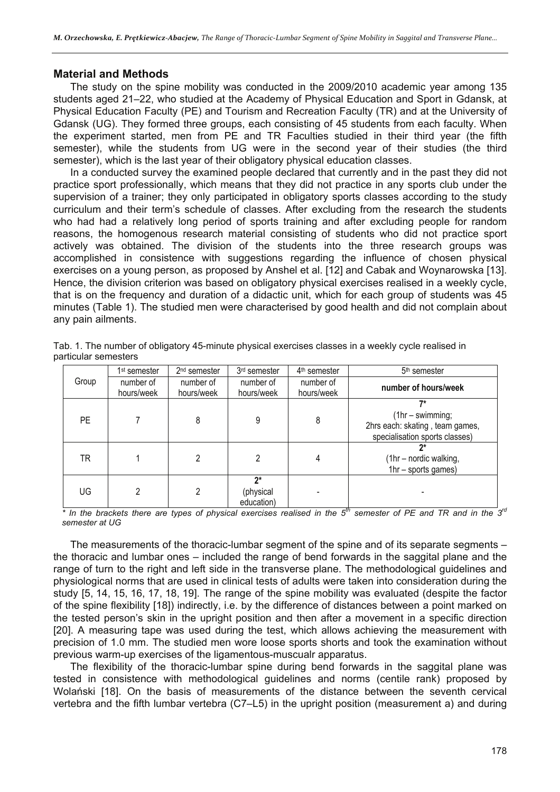### **Material and Methods**

The study on the spine mobility was conducted in the 2009/2010 academic year among 135 students aged 21–22, who studied at the Academy of Physical Education and Sport in Gdansk, at Physical Education Faculty (PE) and Tourism and Recreation Faculty (TR) and at the University of Gdansk (UG). They formed three groups, each consisting of 45 students from each faculty. When the experiment started, men from PE and TR Faculties studied in their third year (the fifth semester), while the students from UG were in the second year of their studies (the third semester), which is the last year of their obligatory physical education classes.

In a conducted survey the examined people declared that currently and in the past they did not practice sport professionally, which means that they did not practice in any sports club under the supervision of a trainer; they only participated in obligatory sports classes according to the study curriculum and their term's schedule of classes. After excluding from the research the students who had had a relatively long period of sports training and after excluding people for random reasons, the homogenous research material consisting of students who did not practice sport actively was obtained. The division of the students into the three research groups was accomplished in consistence with suggestions regarding the influence of chosen physical exercises on a young person, as proposed by Anshel et al. [12] and Cabak and Woynarowska [13]. Hence, the division criterion was based on obligatory physical exercises realised in a weekly cycle, that is on the frequency and duration of a didactic unit, which for each group of students was 45 minutes (Table 1). The studied men were characterised by good health and did not complain about any pain ailments.

|           | 1 <sup>st</sup> semester | 2 <sup>nd</sup> semester | 3 <sup>rd</sup> semester      | 4 <sup>th</sup> semester | 5 <sup>th</sup> semester                                                                      |
|-----------|--------------------------|--------------------------|-------------------------------|--------------------------|-----------------------------------------------------------------------------------------------|
| Group     | number of<br>hours/week  | number of<br>hours/week  | number of<br>hours/week       | number of<br>hours/week  | number of hours/week                                                                          |
| <b>PE</b> |                          | 8                        | 9                             | 8                        | 7*<br>$(1hr - swimming;$<br>2hrs each: skating, team games,<br>specialisation sports classes) |
| TR        |                          | 2                        | 2                             |                          | (1hr - nordic walking,<br>1hr - sports games)                                                 |
| UG        |                          | 2                        | ን*<br>(physical<br>education) | - fh                     |                                                                                               |

Tab. 1. The number of obligatory 45-minute physical exercises classes in a weekly cycle realised in particular semesters

*\* In the brackets there are types of physical exercises realised in the 5th semester of PE and TR and in the 3rd semester at UG* 

The measurements of the thoracic-lumbar segment of the spine and of its separate segments – the thoracic and lumbar ones – included the range of bend forwards in the saggital plane and the range of turn to the right and left side in the transverse plane. The methodological guidelines and physiological norms that are used in clinical tests of adults were taken into consideration during the study [5, 14, 15, 16, 17, 18, 19]. The range of the spine mobility was evaluated (despite the factor of the spine flexibility [18]) indirectly, i.e. by the difference of distances between a point marked on the tested person's skin in the upright position and then after a movement in a specific direction [20]. A measuring tape was used during the test, which allows achieving the measurement with precision of 1.0 mm. The studied men wore loose sports shorts and took the examination without previous warm-up exercises of the ligamentous-muscualr apparatus.

The flexibility of the thoracic-lumbar spine during bend forwards in the saggital plane was tested in consistence with methodological guidelines and norms (centile rank) proposed by Wolański [18]. On the basis of measurements of the distance between the seventh cervical vertebra and the fifth lumbar vertebra (C7–L5) in the upright position (measurement a) and during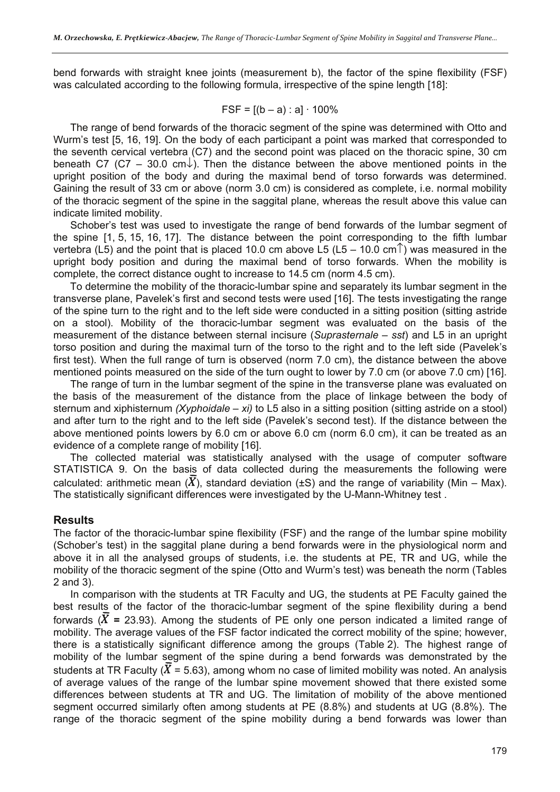bend forwards with straight knee joints (measurement b), the factor of the spine flexibility (FSF) was calculated according to the following formula, irrespective of the spine length [18]:

$$
FSF = [(b - a) : a] \cdot 100\%
$$

The range of bend forwards of the thoracic segment of the spine was determined with Otto and Wurm's test [5, 16, 19]. On the body of each participant a point was marked that corresponded to the seventh cervical vertebra (C7) and the second point was placed on the thoracic spine, 30 cm beneath C7 (C7 – 30.0 cm $\downarrow$ ). Then the distance between the above mentioned points in the upright position of the body and during the maximal bend of torso forwards was determined. Gaining the result of 33 cm or above (norm 3.0 cm) is considered as complete, i.e. normal mobility of the thoracic segment of the spine in the saggital plane, whereas the result above this value can indicate limited mobility.

Schober's test was used to investigate the range of bend forwards of the lumbar segment of the spine [1, 5, 15, 16, 17]. The distance between the point corresponding to the fifth lumbar vertebra (L5) and the point that is placed 10.0 cm above L5 (L5 – 10.0 cm<sup>T</sup>) was measured in the upright body position and during the maximal bend of torso forwards. When the mobility is complete, the correct distance ought to increase to 14.5 cm (norm 4.5 cm).

To determine the mobility of the thoracic-lumbar spine and separately its lumbar segment in the transverse plane, Pavelek's first and second tests were used [16]. The tests investigating the range of the spine turn to the right and to the left side were conducted in a sitting position (sitting astride on a stool). Mobility of the thoracic-lumbar segment was evaluated on the basis of the measurement of the distance between sternal incisure (*Suprasternale – sst*) and L5 in an upright torso position and during the maximal turn of the torso to the right and to the left side (Pavelek's first test). When the full range of turn is observed (norm 7.0 cm), the distance between the above mentioned points measured on the side of the turn ought to lower by 7.0 cm (or above 7.0 cm) [16].

The range of turn in the lumbar segment of the spine in the transverse plane was evaluated on the basis of the measurement of the distance from the place of linkage between the body of sternum and xiphisternum *(Xyphoidale – xi)* to L5 also in a sitting position (sitting astride on a stool) and after turn to the right and to the left side (Pavelek's second test). If the distance between the above mentioned points lowers by 6.0 cm or above 6.0 cm (norm 6.0 cm), it can be treated as an evidence of a complete range of mobility [16].

The collected material was statistically analysed with the usage of computer software STATISTICA 9. On the basis of data collected during the measurements the following were calculated: arithmetic mean  $(\overline{X})$ , standard deviation (±S) and the range of variability (Min – Max). The statistically significant differences were investigated by the U-Mann-Whitney test .

# **Results**

The factor of the thoracic-lumbar spine flexibility (FSF) and the range of the lumbar spine mobility (Schober's test) in the saggital plane during a bend forwards were in the physiological norm and above it in all the analysed groups of students, i.e. the students at PE, TR and UG, while the mobility of the thoracic segment of the spine (Otto and Wurm's test) was beneath the norm (Tables 2 and 3).

In comparison with the students at TR Faculty and UG, the students at PE Faculty gained the best results of the factor of the thoracic-lumbar segment of the spine flexibility during a bend forwards  $(\overline{X} = 23.93)$ . Among the students of PE only one person indicated a limited range of mobility. The average values of the FSF factor indicated the correct mobility of the spine; however, there is a statistically significant difference among the groups (Table 2). The highest range of mobility of the lumbar segment of the spine during a bend forwards was demonstrated by the students at TR Faculty ( $\overline{X}$  = 5.63), among whom no case of limited mobility was noted. An analysis of average values of the range of the lumbar spine movement showed that there existed some differences between students at TR and UG. The limitation of mobility of the above mentioned segment occurred similarly often among students at PE (8.8%) and students at UG (8.8%). The range of the thoracic segment of the spine mobility during a bend forwards was lower than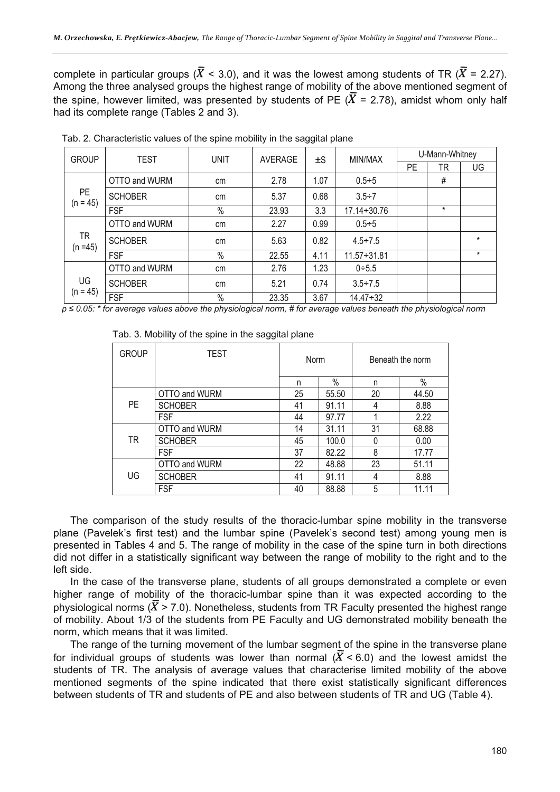complete in particular groups ( $\overline{X}$  < 3.0), and it was the lowest among students of TR ( $\overline{X}$  = 2.27). Among the three analysed groups the highest range of mobility of the above mentioned segment of the spine, however limited, was presented by students of PE ( $\overline{X}$  = 2.78), amidst whom only half had its complete range (Tables 2 and 3).

| <b>GROUP</b>            | TEST<br><b>UNIT</b><br>AVERAGE |               |       | ±S   | MIN/MAX            | U-Mann-Whitney |         |          |
|-------------------------|--------------------------------|---------------|-------|------|--------------------|----------------|---------|----------|
|                         |                                |               |       | PE   | TR                 | UG             |         |          |
|                         | OTTO and WURM                  | cm            | 2.78  | 1.07 | $0.5 \div 5$       |                | #       |          |
| PE<br>$(n = 45)$        | <b>SCHOBER</b>                 | cm            | 5.37  | 0.68 | $3.5 \div 7$       |                |         |          |
|                         | <b>FSF</b>                     | $\%$          | 23.93 | 3.3  | $17.14 \div 30.76$ |                | $\star$ |          |
| <b>TR</b><br>$(n = 45)$ | OTTO and WURM                  | cm            | 2.27  | 0.99 | $0.5 \div 5$       |                |         |          |
|                         | <b>SCHOBER</b>                 | cm            | 5.63  | 0.82 | $4.5 \div 7.5$     |                |         | $^\star$ |
|                         | <b>FSF</b>                     | $\frac{0}{0}$ | 22.55 | 4.11 | $11.57 - 31.81$    |                |         | $^\star$ |
| UG<br>$(n = 45)$        | OTTO and WURM                  | cm            | 2.76  | 1.23 | $0 + 5.5$          |                |         |          |
|                         | <b>SCHOBER</b>                 | cm            | 5.21  | 0.74 | $3.5 + 7.5$        |                |         |          |
|                         | <b>FSF</b>                     | $\%$          | 23.35 | 3.67 | $14.47 \div 32$    |                |         |          |

Tab. 2. Characteristic values of the spine mobility in the saggital plane

*p ≤ 0.05: \* for average values above the physiological norm, # for average values beneath the physiological norm* 

| <b>GROUP</b> | <b>TEST</b>    | Norm |       | Beneath the norm |       |  |
|--------------|----------------|------|-------|------------------|-------|--|
|              |                | n    | $\%$  | n                | $\%$  |  |
|              | OTTO and WURM  | 25   | 55.50 | 20               | 44.50 |  |
| <b>PE</b>    | <b>SCHOBER</b> | 41   | 91.11 | 4                | 8.88  |  |
|              | <b>FSF</b>     | 44   | 97.77 |                  | 2.22  |  |
| TR           | OTTO and WURM  | 14   | 31.11 | 31               | 68.88 |  |
|              | <b>SCHOBER</b> | 45   | 100.0 | 0                | 0.00  |  |
|              | <b>FSF</b>     | 37   | 82.22 | 8                | 17.77 |  |
| UG           | OTTO and WURM  | 22   | 48.88 | 23               | 51.11 |  |
|              | <b>SCHOBER</b> | 41   | 91.11 | 4                | 8.88  |  |
|              | <b>FSF</b>     | 40   | 88.88 | 5                | 11.11 |  |

Tab. 3. Mobility of the spine in the saggital plane

The comparison of the study results of the thoracic-lumbar spine mobility in the transverse plane (Pavelek's first test) and the lumbar spine (Pavelek's second test) among young men is presented in Tables 4 and 5. The range of mobility in the case of the spine turn in both directions did not differ in a statistically significant way between the range of mobility to the right and to the left side.

In the case of the transverse plane, students of all groups demonstrated a complete or even higher range of mobility of the thoracic-lumbar spine than it was expected according to the physiological norms ( $\overline{X}$  > 7.0). Nonetheless, students from TR Faculty presented the highest range of mobility. About 1/3 of the students from PE Faculty and UG demonstrated mobility beneath the norm, which means that it was limited.

The range of the turning movement of the lumbar segment of the spine in the transverse plane for individual groups of students was lower than normal ( $\overline{X}$  < 6.0) and the lowest amidst the students of TR. The analysis of average values that characterise limited mobility of the above mentioned segments of the spine indicated that there exist statistically significant differences between students of TR and students of PE and also between students of TR and UG (Table 4).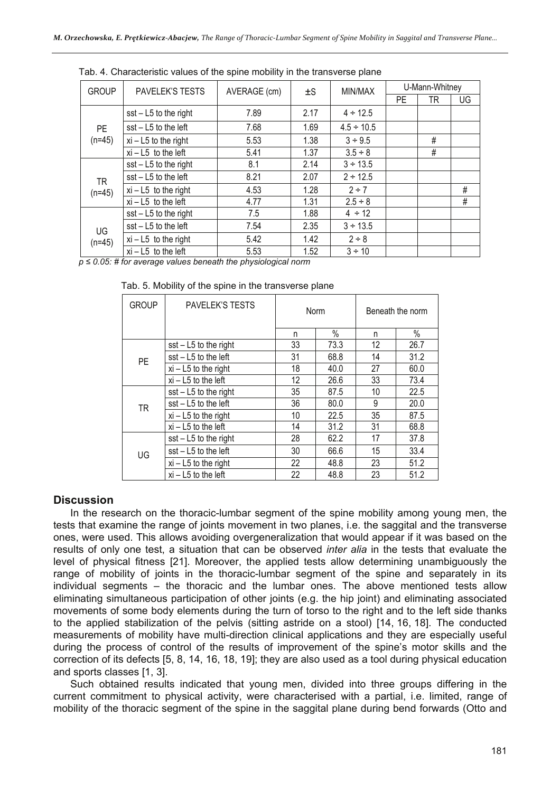| <b>GROUP</b>   | <b>PAVELEK'S TESTS</b>  | AVERAGE (cm) | ±S   | MIN/MAX         | U-Mann-Whitney |    |      |
|----------------|-------------------------|--------------|------|-----------------|----------------|----|------|
|                |                         |              |      |                 | PE.            | TR | UG   |
|                | $sst - L5$ to the right | 7.89         | 2.17 | $4 \div 12.5$   |                |    |      |
| <b>PE</b>      | sst - L5 to the left    | 7.68         | 1.69 | $4.5 \div 10.5$ |                |    |      |
| $(n=45)$       | $xi - L5$ to the right  | 5.53         | 1.38 | $3 \div 9.5$    |                | #  |      |
|                | $xi - L5$ to the left   | 5.41         | 1.37 | $3.5 \div 8$    |                | #  |      |
| TR<br>$(n=45)$ | $sst - L5$ to the right | 8.1          | 2.14 | $3 \div 13.5$   |                |    |      |
|                | $sst - L5$ to the left  | 8.21         | 2.07 | $2 \div 12.5$   |                |    |      |
|                | $xi - L5$ to the right  | 4.53         | 1.28 | $2 \div 7$      |                |    | #    |
|                | $xi - L5$ to the left   | 4.77         | 1.31 | $2.5 \div 8$    |                |    | $\#$ |
| UG<br>$(n=45)$ | $sst - L5$ to the right | 7.5          | 1.88 | $4 \div 12$     |                |    |      |
|                | $sst - L5$ to the left  | 7.54         | 2.35 | $3 \div 13.5$   |                |    |      |
|                | $xi - L5$ to the right  | 5.42         | 1.42 | $2 \div 8$      |                |    |      |
|                | $xi - L5$ to the left   | 5.53         | 1.52 | $3 \div 10$     |                |    |      |

Tab. 4. Characteristic values of the spine mobility in the transverse plane

*p ≤ 0.05: # for average values beneath the physiological norm* 

| <b>GROUP</b> | <b>PAVELEK'S TESTS</b>  | Norm |      | Beneath the norm |      |  |
|--------------|-------------------------|------|------|------------------|------|--|
|              |                         | n    | $\%$ | n                | %    |  |
|              | $sst - L5$ to the right | 33   | 73.3 | 12               | 26.7 |  |
| PE           | sst - L5 to the left    | 31   | 68.8 | 14               | 31.2 |  |
|              | $xi - L5$ to the right  | 18   | 40.0 | 27               | 60.0 |  |
|              | $xi - L5$ to the left   | 12   | 26.6 | 33               | 73.4 |  |
| <b>TR</b>    | $sst - L5$ to the right | 35   | 87.5 | 10               | 22.5 |  |
|              | sst - L5 to the left    | 36   | 80.0 | 9                | 20.0 |  |
|              | $xi - L5$ to the right  | 10   | 22.5 | 35               | 87.5 |  |
|              | $xi - L5$ to the left   | 14   | 31.2 | 31               | 68.8 |  |
| UG           | $sst - L5$ to the right | 28   | 62.2 | 17               | 37.8 |  |
|              | sst - L5 to the left    | 30   | 66.6 | 15               | 33.4 |  |
|              | $xi - L5$ to the right  | 22   | 48.8 | 23               | 51.2 |  |
|              | $xi - L5$ to the left   | 22   | 48.8 | 23               | 51.2 |  |

Tab. 5. Mobility of the spine in the transverse plane

# **Discussion**

In the research on the thoracic-lumbar segment of the spine mobility among young men, the tests that examine the range of joints movement in two planes, i.e. the saggital and the transverse ones, were used. This allows avoiding overgeneralization that would appear if it was based on the results of only one test, a situation that can be observed *inter alia* in the tests that evaluate the level of physical fitness [21]. Moreover, the applied tests allow determining unambiguously the range of mobility of joints in the thoracic-lumbar segment of the spine and separately in its individual segments – the thoracic and the lumbar ones. The above mentioned tests allow eliminating simultaneous participation of other joints (e.g. the hip joint) and eliminating associated movements of some body elements during the turn of torso to the right and to the left side thanks to the applied stabilization of the pelvis (sitting astride on a stool) [14, 16, 18]. The conducted measurements of mobility have multi-direction clinical applications and they are especially useful during the process of control of the results of improvement of the spine's motor skills and the correction of its defects [5, 8, 14, 16, 18, 19]; they are also used as a tool during physical education and sports classes [1, 3].

Such obtained results indicated that young men, divided into three groups differing in the current commitment to physical activity, were characterised with a partial, i.e. limited, range of mobility of the thoracic segment of the spine in the saggital plane during bend forwards (Otto and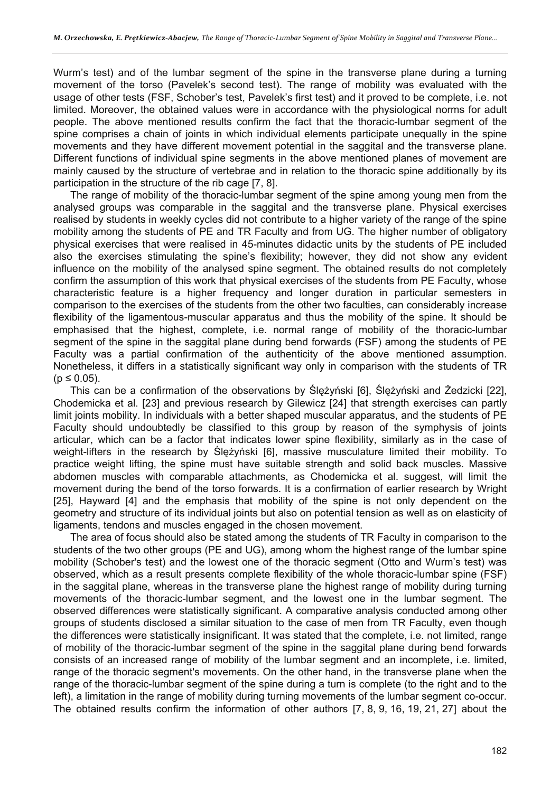Wurm's test) and of the lumbar segment of the spine in the transverse plane during a turning movement of the torso (Pavelek's second test). The range of mobility was evaluated with the usage of other tests (FSF, Schober's test, Pavelek's first test) and it proved to be complete, i.e. not limited. Moreover, the obtained values were in accordance with the physiological norms for adult people. The above mentioned results confirm the fact that the thoracic-lumbar segment of the spine comprises a chain of joints in which individual elements participate unequally in the spine movements and they have different movement potential in the saggital and the transverse plane. Different functions of individual spine segments in the above mentioned planes of movement are mainly caused by the structure of vertebrae and in relation to the thoracic spine additionally by its participation in the structure of the rib cage [7, 8].

The range of mobility of the thoracic-lumbar segment of the spine among young men from the analysed groups was comparable in the saggital and the transverse plane. Physical exercises realised by students in weekly cycles did not contribute to a higher variety of the range of the spine mobility among the students of PE and TR Faculty and from UG. The higher number of obligatory physical exercises that were realised in 45-minutes didactic units by the students of PE included also the exercises stimulating the spine's flexibility; however, they did not show any evident influence on the mobility of the analysed spine segment. The obtained results do not completely confirm the assumption of this work that physical exercises of the students from PE Faculty, whose characteristic feature is a higher frequency and longer duration in particular semesters in comparison to the exercises of the students from the other two faculties, can considerably increase flexibility of the ligamentous-muscular apparatus and thus the mobility of the spine. It should be emphasised that the highest, complete, i.e. normal range of mobility of the thoracic-lumbar segment of the spine in the saggital plane during bend forwards (FSF) among the students of PE Faculty was a partial confirmation of the authenticity of the above mentioned assumption. Nonetheless, it differs in a statistically significant way only in comparison with the students of TR  $(p \le 0.05)$ .

This can be a confirmation of the observations by Ślężyński [6], Ślężyński and Żedzicki [22], Chodemicka et al. [23] and previous research by Gilewicz [24] that strength exercises can partly limit joints mobility. In individuals with a better shaped muscular apparatus, and the students of PE Faculty should undoubtedly be classified to this group by reason of the symphysis of joints articular, which can be a factor that indicates lower spine flexibility, similarly as in the case of weight-lifters in the research by Ślężyński [6], massive musculature limited their mobility. To practice weight lifting, the spine must have suitable strength and solid back muscles. Massive abdomen muscles with comparable attachments, as Chodemicka et al. suggest, will limit the movement during the bend of the torso forwards. It is a confirmation of earlier research by Wright [25], Hayward [4] and the emphasis that mobility of the spine is not only dependent on the geometry and structure of its individual joints but also on potential tension as well as on elasticity of ligaments, tendons and muscles engaged in the chosen movement.

The area of focus should also be stated among the students of TR Faculty in comparison to the students of the two other groups (PE and UG), among whom the highest range of the lumbar spine mobility (Schober's test) and the lowest one of the thoracic segment (Otto and Wurm's test) was observed, which as a result presents complete flexibility of the whole thoracic-lumbar spine (FSF) in the saggital plane, whereas in the transverse plane the highest range of mobility during turning movements of the thoracic-lumbar segment, and the lowest one in the lumbar segment. The observed differences were statistically significant. A comparative analysis conducted among other groups of students disclosed a similar situation to the case of men from TR Faculty, even though the differences were statistically insignificant. It was stated that the complete, i.e. not limited, range of mobility of the thoracic-lumbar segment of the spine in the saggital plane during bend forwards consists of an increased range of mobility of the lumbar segment and an incomplete, i.e. limited, range of the thoracic segment's movements. On the other hand, in the transverse plane when the range of the thoracic-lumbar segment of the spine during a turn is complete (to the right and to the left), a limitation in the range of mobility during turning movements of the lumbar segment co-occur. The obtained results confirm the information of other authors [7, 8, 9, 16, 19, 21, 27] about the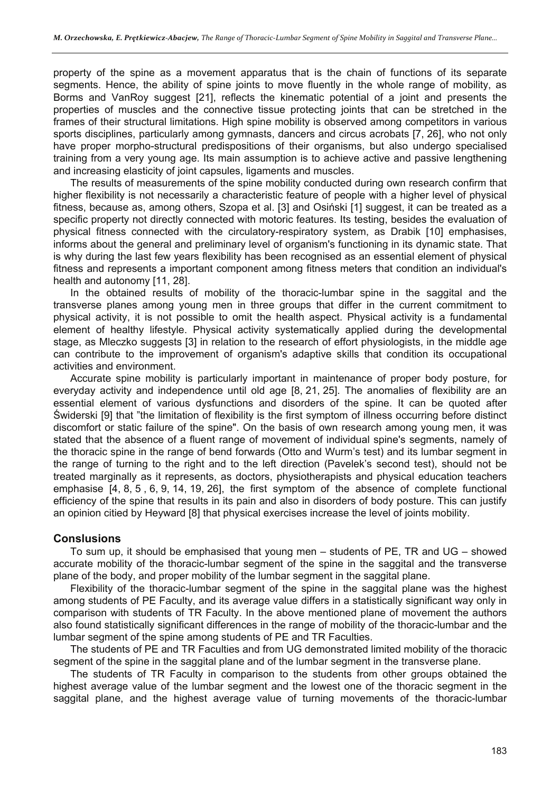property of the spine as a movement apparatus that is the chain of functions of its separate segments. Hence, the ability of spine joints to move fluently in the whole range of mobility, as Borms and VanRoy suggest [21], reflects the kinematic potential of a joint and presents the properties of muscles and the connective tissue protecting joints that can be stretched in the frames of their structural limitations. High spine mobility is observed among competitors in various sports disciplines, particularly among gymnasts, dancers and circus acrobats [7, 26], who not only have proper morpho-structural predispositions of their organisms, but also undergo specialised training from a very young age. Its main assumption is to achieve active and passive lengthening and increasing elasticity of joint capsules, ligaments and muscles.

The results of measurements of the spine mobility conducted during own research confirm that higher flexibility is not necessarily a characteristic feature of people with a higher level of physical fitness, because as, among others, Szopa et al. [3] and Osiński [1] suggest, it can be treated as a specific property not directly connected with motoric features. Its testing, besides the evaluation of physical fitness connected with the circulatory-respiratory system, as Drabik [10] emphasises, informs about the general and preliminary level of organism's functioning in its dynamic state. That is why during the last few years flexibility has been recognised as an essential element of physical fitness and represents a important component among fitness meters that condition an individual's health and autonomy [11, 28].

In the obtained results of mobility of the thoracic-lumbar spine in the saggital and the transverse planes among young men in three groups that differ in the current commitment to physical activity, it is not possible to omit the health aspect. Physical activity is a fundamental element of healthy lifestyle. Physical activity systematically applied during the developmental stage, as Mleczko suggests [3] in relation to the research of effort physiologists, in the middle age can contribute to the improvement of organism's adaptive skills that condition its occupational activities and environment.

Accurate spine mobility is particularly important in maintenance of proper body posture, for everyday activity and independence until old age [8, 21, 25]. The anomalies of flexibility are an essential element of various dysfunctions and disorders of the spine. It can be quoted after Świderski [9] that "the limitation of flexibility is the first symptom of illness occurring before distinct discomfort or static failure of the spine". On the basis of own research among young men, it was stated that the absence of a fluent range of movement of individual spine's segments, namely of the thoracic spine in the range of bend forwards (Otto and Wurm's test) and its lumbar segment in the range of turning to the right and to the left direction (Pavelek's second test), should not be treated marginally as it represents, as doctors, physiotherapists and physical education teachers emphasise [4, 8, 5 , 6, 9, 14, 19, 26], the first symptom of the absence of complete functional efficiency of the spine that results in its pain and also in disorders of body posture. This can justify an opinion citied by Heyward [8] that physical exercises increase the level of joints mobility.

#### **Conslusions**

To sum up, it should be emphasised that young men – students of PE, TR and UG – showed accurate mobility of the thoracic-lumbar segment of the spine in the saggital and the transverse plane of the body, and proper mobility of the lumbar segment in the saggital plane.

Flexibility of the thoracic-lumbar segment of the spine in the saggital plane was the highest among students of PE Faculty, and its average value differs in a statistically significant way only in comparison with students of TR Faculty. In the above mentioned plane of movement the authors also found statistically significant differences in the range of mobility of the thoracic-lumbar and the lumbar segment of the spine among students of PE and TR Faculties.

The students of PE and TR Faculties and from UG demonstrated limited mobility of the thoracic segment of the spine in the saggital plane and of the lumbar segment in the transverse plane.

The students of TR Faculty in comparison to the students from other groups obtained the highest average value of the lumbar segment and the lowest one of the thoracic segment in the saggital plane, and the highest average value of turning movements of the thoracic-lumbar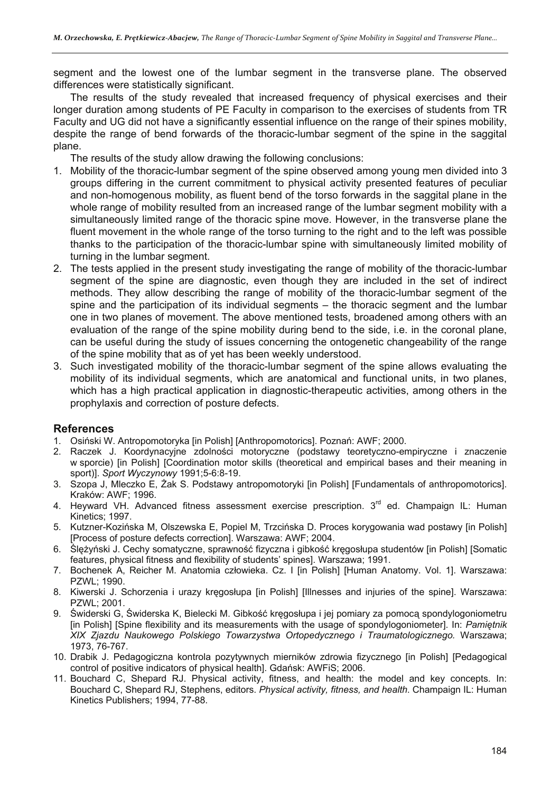segment and the lowest one of the lumbar segment in the transverse plane. The observed differences were statistically significant.

The results of the study revealed that increased frequency of physical exercises and their longer duration among students of PE Faculty in comparison to the exercises of students from TR Faculty and UG did not have a significantly essential influence on the range of their spines mobility, despite the range of bend forwards of the thoracic-lumbar segment of the spine in the saggital plane.

The results of the study allow drawing the following conclusions:

- 1. Mobility of the thoracic-lumbar segment of the spine observed among young men divided into 3 groups differing in the current commitment to physical activity presented features of peculiar and non-homogenous mobility, as fluent bend of the torso forwards in the saggital plane in the whole range of mobility resulted from an increased range of the lumbar segment mobility with a simultaneously limited range of the thoracic spine move. However, in the transverse plane the fluent movement in the whole range of the torso turning to the right and to the left was possible thanks to the participation of the thoracic-lumbar spine with simultaneously limited mobility of turning in the lumbar segment.
- 2. The tests applied in the present study investigating the range of mobility of the thoracic-lumbar segment of the spine are diagnostic, even though they are included in the set of indirect methods. They allow describing the range of mobility of the thoracic-lumbar segment of the spine and the participation of its individual segments – the thoracic segment and the lumbar one in two planes of movement. The above mentioned tests, broadened among others with an evaluation of the range of the spine mobility during bend to the side, i.e. in the coronal plane, can be useful during the study of issues concerning the ontogenetic changeability of the range of the spine mobility that as of yet has been weekly understood.
- 3. Such investigated mobility of the thoracic-lumbar segment of the spine allows evaluating the mobility of its individual segments, which are anatomical and functional units, in two planes, which has a high practical application in diagnostic-therapeutic activities, among others in the prophylaxis and correction of posture defects.

# **References**

- 1. Osiński W. Antropomotoryka [in Polish] [Anthropomotorics]. Poznań: AWF; 2000.
- 2. Raczek J. Koordynacyjne zdolności motoryczne (podstawy teoretyczno-empiryczne i znaczenie w sporcie) [in Polish] [Coordination motor skills (theoretical and empirical bases and their meaning in sport)]. *Sport Wyczynowy* 1991;5-6:8-19.
- 3. Szopa J, Mleczko E, Żak S. Podstawy antropomotoryki [in Polish] [Fundamentals of anthropomotorics]. Kraków: AWF; 1996.
- 4. Heyward VH. Advanced fitness assessment exercise prescription. 3<sup>rd</sup> ed. Champaign IL: Human Kinetics; 1997.
- 5. Kutzner-Kozińska M, Olszewska E, Popiel M, Trzcińska D. Proces korygowania wad postawy [in Polish] [Process of posture defects correction]. Warszawa: AWF; 2004.
- 6. Ślężyński J. Cechy somatyczne, sprawność fizyczna i gibkość kręgosłupa studentów [in Polish] [Somatic features, physical fitness and flexibility of students' spines]. Warszawa; 1991.
- 7. Bochenek A, Reicher M. Anatomia człowieka. Cz. I [in Polish] [Human Anatomy. Vol. 1]. Warszawa: PZWL; 1990.
- 8. Kiwerski J. Schorzenia i urazy kregosłupa [in Polish] [Illnesses and injuries of the spine]. Warszawa: PZWL; 2001.
- 9. Świderski G, Świderska K, Bielecki M. Gibkość kręgosłupa i jej pomiary za pomocą spondylogoniometru [in Polish] [Spine flexibility and its measurements with the usage of spondylogoniometer]. In: *Pamiętnik XIX Zjazdu Naukowego Polskiego Towarzystwa Ortopedycznego i Traumatologicznego.* Warszawa; 1973, 76-767.
- 10. Drabik J. Pedagogiczna kontrola pozytywnych mierników zdrowia fizycznego [in Polish] [Pedagogical control of positive indicators of physical health]. Gdańsk: AWFiS; 2006.
- 11. Bouchard C, Shepard RJ. Physical activity, fitness, and health: the model and key concepts. In: Bouchard C, Shepard RJ, Stephens, editors. *Physical activity, fitness, and health*. Champaign IL: Human Kinetics Publishers; 1994, 77-88.